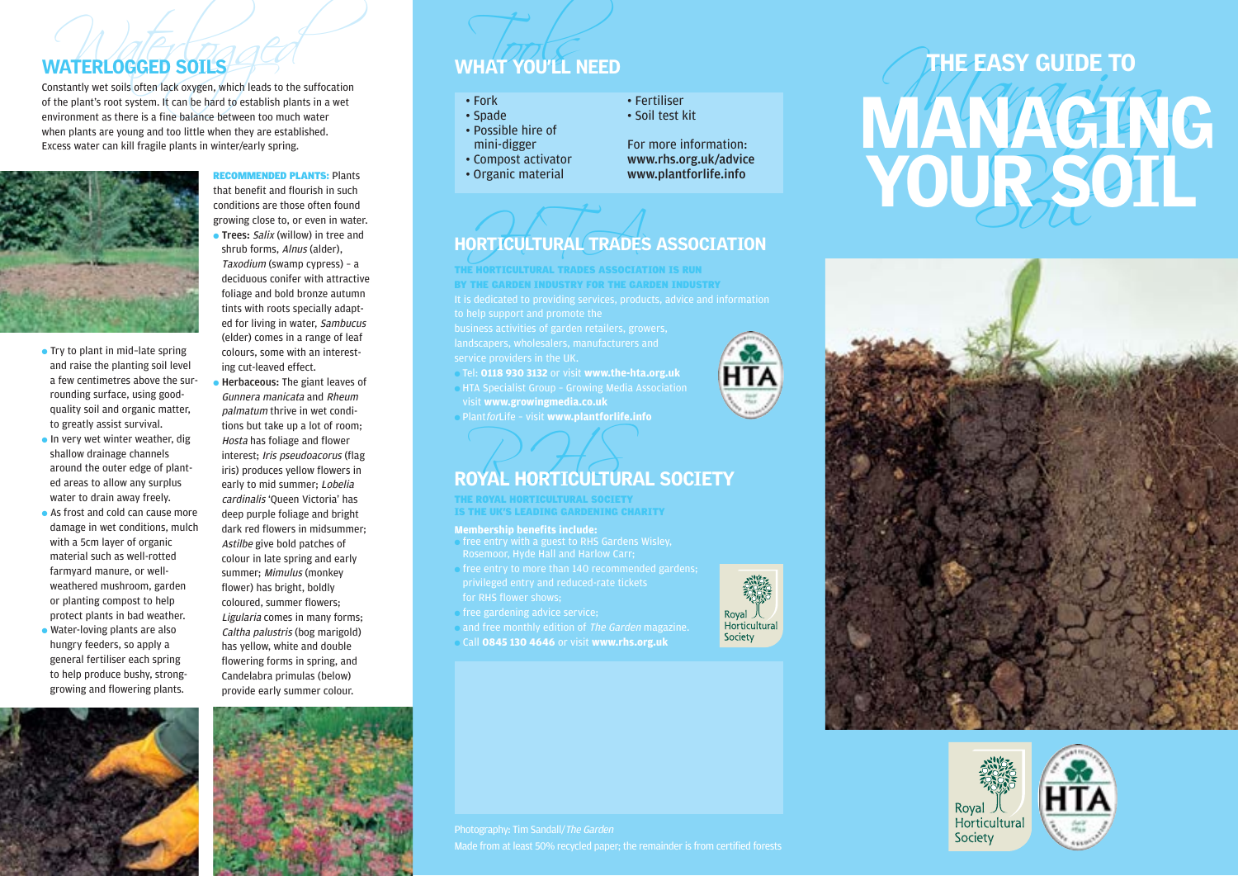

- Try to plant in mid-late spring and raise the planting soil level a few centimetres above the surrounding surface, using goodquality soil and organic matter, to greatly assist survival.
- In very wet winter weather, dig shallow drainage channels around the outer edge of planted areas to allow any surplus water to drain away freely.
- As frost and cold can cause more damage in wet conditions, mulch with a 5cm layer of organic material such as well-rotted farmyard manure, or wellweathered mushroom, garden or planting compost to help protect plants in bad weather. ● Water-loving plants are also hungry feeders, so apply a general fertiliser each spring to help produce bushy, stronggrowing and flowering plants.



RECOMMENDED PLANTS: Plants that benefit and flourish in such conditions are those often found growing close to, or even in water.

**• Trees:** Salix (willow) in tree and shrub forms, Alnus (alder), Taxodium (swamp cypress) – a deciduous conifer with attractive foliage and bold bronze autumn tints with roots specially adapted for living in water, Sambucus (elder) comes in a range of leaf colours, some with an interesting cut-leaved effect.

● Herbaceous: The giant leaves of Gunnera manicata and Rheum palmatum thrive in wet conditions but take up a lot of room; Hosta has foliage and flower interest; Iris pseudoacorus (flag iris) produces yellow flowers in early to mid summer: Lobelia cardinalis 'Queen Victoria' has deep purple foliage and bright dark red flowers in midsummer; Astilbe give bold patches of colour in late spring and early summer; Mimulus (monkey flower) has bright, boldly coloured, summer flowers; Ligularia comes in many forms; Caltha palustris (bog marigold) has yellow, white and double flowering forms in spring, and Candelabra primulas (below) provide early summer colour.



- 
- 
- 
- 
- 

# ORTICULTURAL TRADES HORTICULTURAL TRADES ASSOCIATION

# THE HORTICULTURAL TRADES ASSOCIATION IS RUN

BY THE GARDEN INDUSTRY FOR THE GARDEN INDUSTRY

- Tel: **0118 930 3132** or visit **www.the-hta.org.uk HTA Specialist Group - Growing Media Association**
- visit **www.growingmedia.co.uk**
- PlantforLife visit **www.plantforlife.info**

# ROYAL HORTICULTURAL SOCIETY

THE ROYAL HORTICULTURAL SOCIETY IS THE UK'S LEADING GARDENING CHARITY

## **Membership benefits include:**

- free entry with a guest to RHS Gardens Wisley, Rosemoor, Hyde Hall and Harlow Carr;
- free entry to more than 140 recommended gardens; for RHS flower shows;
- free gardening advice service;
- and free monthly edition of The Garden magazine.
- Call **0845 130 4646** or visit **www.rhs.org.uk**



# WHAT YOU'LL NEED<br>
Constantly wet solis often lack oxygen, which leads to the sufficiation<br>
environment as there is a fine balance between to much water<br>
environment as there is a fine balance between to much water<br>
when pl





Photography: Tim Sandall/The Garden Made from at least 50% recycled paper; the remainder is from certified forests